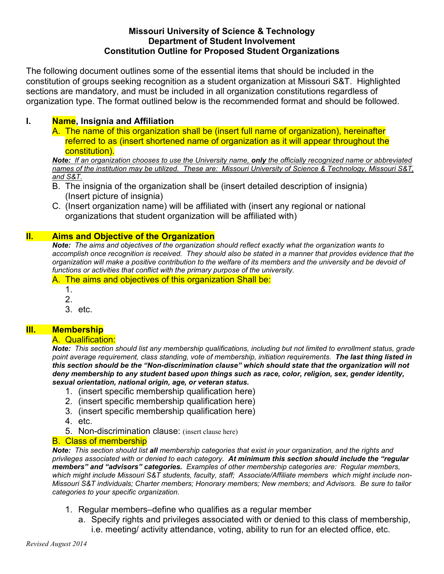## **Missouri University of Science & Technology Department of Student Involvement Constitution Outline for Proposed Student Organizations**

The following document outlines some of the essential items that should be included in the constitution of groups seeking recognition as a student organization at Missouri S&T. Highlighted sections are mandatory, and must be included in all organization constitutions regardless of organization type. The format outlined below is the recommended format and should be followed.

# **I. Name, Insignia and Affiliation**

A. The name of this organization shall be (insert full name of organization), hereinafter referred to as (insert shortened name of organization as it will appear throughout the constitution).

*Note: If an organization chooses to use the University name, only the officially recognized name or abbreviated names of the institution may be utilized. These are: Missouri University of Science & Technology, Missouri S&T, and S&T.*

- B. The insignia of the organization shall be (insert detailed description of insignia) (Insert picture of insignia)
- C. (Insert organization name) will be affiliated with (insert any regional or national organizations that student organization will be affiliated with)

## **II. Aims and Objective of the Organization**

*Note: The aims and objectives of the organization should reflect exactly what the organization wants to accomplish once recognition is received. They should also be stated in a manner that provides evidence that the organization will make a positive contribution to the welfare of its members and the university and be devoid of functions or activities that conflict with the primary purpose of the university.* 

A. The aims and objectives of this organization Shall be:

- 1.
- 2.
- 3. etc.

## **III. Membership**

#### A. Qualification:

*Note: This section should list any membership qualifications, including but not limited to enrollment status, grade point average requirement, class standing, vote of membership, initiation requirements. The last thing listed in this section should be the "Non-discrimination clause" which should state that the organization will not deny membership to any student based upon things such as race, color, religion, sex, gender identity, sexual orientation, national origin, age, or veteran status.*

- 1. (insert specific membership qualification here)
- 2. (insert specific membership qualification here)
- 3. (insert specific membership qualification here)
- 4. etc.
- 5. Non-discrimination clause: (insert clause here)

#### B. Class of membership

*Note: This section should list all membership categories that exist in your organization, and the rights and privileges associated with or denied to each category. At minimum this section should include the "regular members" and "advisors" categories. Examples of other membership categories are: Regular members, which might include Missouri S&T students, faculty, staff; Associate/Affiliate members which might include non-Missouri S&T individuals; Charter members; Honorary members; New members; and Advisors. Be sure to tailor categories to your specific organization.*

- 1. Regular members–define who qualifies as a regular member
	- a. Specify rights and privileges associated with or denied to this class of membership, i.e. meeting/ activity attendance, voting, ability to run for an elected office, etc.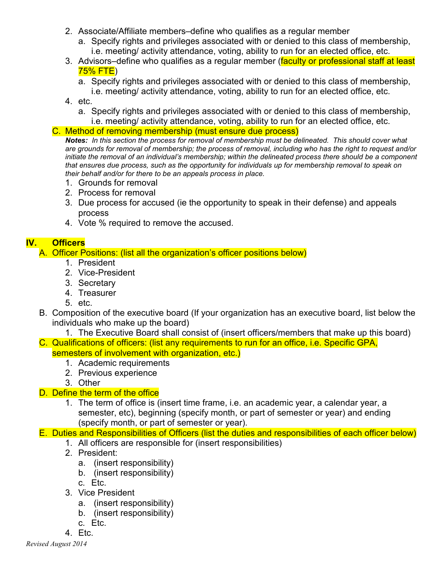- 2. Associate/Affiliate members–define who qualifies as a regular member
	- a. Specify rights and privileges associated with or denied to this class of membership, i.e. meeting/ activity attendance, voting, ability to run for an elected office, etc.
- 3. Advisors–define who qualifies as a regular member (faculty or professional staff at least 75% FTE)
	- a. Specify rights and privileges associated with or denied to this class of membership, i.e. meeting/ activity attendance, voting, ability to run for an elected office, etc.
- 4. etc.
	- a. Specify rights and privileges associated with or denied to this class of membership, i.e. meeting/ activity attendance, voting, ability to run for an elected office, etc.
- C. Method of removing membership (must ensure due process)

*Notes: In this section the process for removal of membership must be delineated. This should cover what are grounds for removal of membership; the process of removal, including who has the right to request and/or initiate the removal of an individual's membership; within the delineated process there should be a component that ensures due process, such as the opportunity for individuals up for membership removal to speak on their behalf and/or for there to be an appeals process in place.*

- 1. Grounds for removal
- 2. Process for removal
- 3. Due process for accused (ie the opportunity to speak in their defense) and appeals process
- 4. Vote % required to remove the accused.

# **IV. Officers**

A. Officer Positions: (list all the organization's officer positions below)

- 1. President
- 2. Vice-President
- 3. Secretary
- 4. Treasurer
- 5. etc.
- B. Composition of the executive board (If your organization has an executive board, list below the individuals who make up the board)
- 1. The Executive Board shall consist of (insert officers/members that make up this board) C. Qualifications of officers: (list any requirements to run for an office, i.e. Specific GPA,
	- semesters of involvement with organization, etc.)
		- 1. Academic requirements
		- 2. Previous experience
		- 3. Other

# D. Define the term of the office

1. The term of office is (insert time frame, i.e. an academic year, a calendar year, a semester, etc), beginning (specify month, or part of semester or year) and ending (specify month, or part of semester or year).

# E. Duties and Responsibilities of Officers (list the duties and responsibilities of each officer below)

- 1. All officers are responsible for (insert responsibilities)
- 2. President:
	- a. (insert responsibility)
	- b. (insert responsibility)
	- c. Etc.
- 3. Vice President
	- a. (insert responsibility)
	- b. (insert responsibility)
	- c. Etc.
- 4. Etc.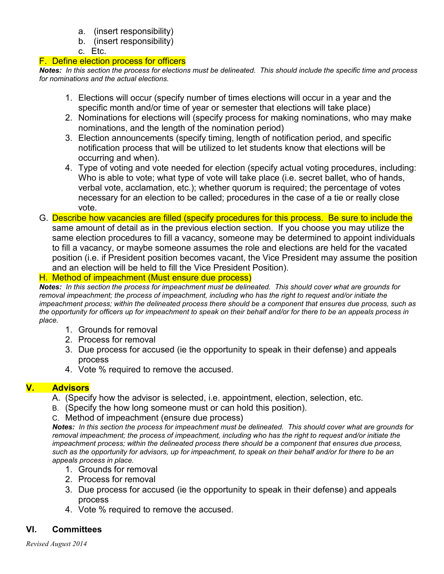- a. (insert responsibility)
- b. (insert responsibility)

c. Etc.

#### F. Define election process for officers

*Notes: In this section the process for elections must be delineated. This should include the specific time and process for nominations and the actual elections.*

- 1. Elections will occur (specify number of times elections will occur in a year and the specific month and/or time of year or semester that elections will take place)
- 2. Nominations for elections will (specify process for making nominations, who may make nominations, and the length of the nomination period)
- 3. Election announcements (specify timing, length of notification period, and specific notification process that will be utilized to let students know that elections will be occurring and when).
- 4. Type of voting and vote needed for election (specify actual voting procedures, including: Who is able to vote; what type of vote will take place (i.e. secret ballet, who of hands, verbal vote, acclamation, etc.); whether quorum is required; the percentage of votes necessary for an election to be called; procedures in the case of a tie or really close vote.
- G. Describe how vacancies are filled (specify procedures for this process. Be sure to include the same amount of detail as in the previous election section. If you choose you may utilize the same election procedures to fill a vacancy, someone may be determined to appoint individuals to fill a vacancy, or maybe someone assumes the role and elections are held for the vacated position (i.e. if President position becomes vacant, the Vice President may assume the position and an election will be held to fill the Vice President Position).

# H. Method of impeachment (Must ensure due process)

*Notes: In this section the process for impeachment must be delineated. This should cover what are grounds for removal impeachment; the process of impeachment, including who has the right to request and/or initiate the impeachment process; within the delineated process there should be a component that ensures due process, such as the opportunity for officers up for impeachment to speak on their behalf and/or for there to be an appeals process in place.*

- 1. Grounds for removal
- 2. Process for removal
- 3. Due process for accused (ie the opportunity to speak in their defense) and appeals process
- 4. Vote % required to remove the accused.

# **V. Advisors**

- A. (Specify how the advisor is selected, i.e. appointment, election, selection, etc.
- B. (Specify the how long someone must or can hold this position).
- C. Method of impeachment (ensure due process)

*Notes: In this section the process for impeachment must be delineated. This should cover what are grounds for removal impeachment; the process of impeachment, including who has the right to request and/or initiate the impeachment process; within the delineated process there should be a component that ensures due process, such as the opportunity for advisors, up for impeachment, to speak on their behalf and/or for there to be an appeals process in place.*

- 1. Grounds for removal
- 2. Process for removal
- 3. Due process for accused (ie the opportunity to speak in their defense) and appeals process
- 4. Vote % required to remove the accused.

# **VI. Committees**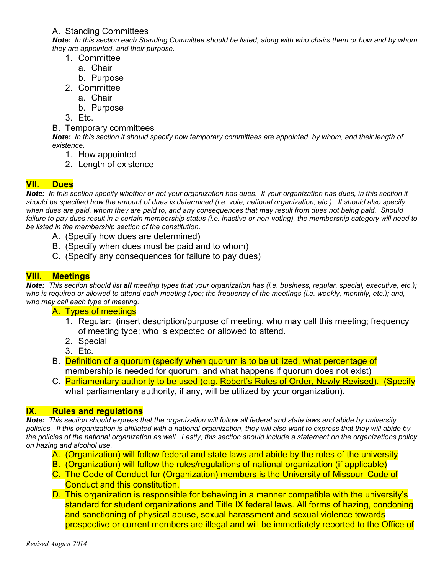#### A. Standing Committees

*Note: In this section each Standing Committee should be listed, along with who chairs them or how and by whom they are appointed, and their purpose.*

- 1. Committee
	- a. Chair
	- b. Purpose
- 2. Committee
	- a. Chair
	- b. Purpose
- 3. Etc.
- B. Temporary committees

*Note: In this section it should specify how temporary committees are appointed, by whom, and their length of existence.*

- 1. How appointed
- 2. Length of existence

# **VII. Dues**

*Note: In this section specify whether or not your organization has dues. If your organization has dues, in this section it should be specified how the amount of dues is determined (i.e. vote, national organization, etc.). It should also specify when dues are paid, whom they are paid to, and any consequences that may result from dues not being paid. Should failure to pay dues result in a certain membership status (i.e. inactive or non-voting), the membership category will need to be listed in the membership section of the constitution.*

- A. (Specify how dues are determined)
- B. (Specify when dues must be paid and to whom)
- C. (Specify any consequences for failure to pay dues)

## **VIII. Meetings**

*Note: This section should list all meeting types that your organization has (i.e. business, regular, special, executive, etc.); who is required or allowed to attend each meeting type; the frequency of the meetings (i.e. weekly, monthly, etc.); and, who may call each type of meeting.* 

#### A. Types of meetings

- 1. Regular: (insert description/purpose of meeting, who may call this meeting; frequency of meeting type; who is expected or allowed to attend.
- 2. Special
- 3. Etc.
- B. Definition of a quorum (specify when quorum is to be utilized, what percentage of membership is needed for quorum, and what happens if quorum does not exist)
- C. Parliamentary authority to be used (e.g. Robert's Rules of Order, Newly Revised). (Specify what parliamentary authority, if any, will be utilized by your organization).

## **IX. Rules and regulations**

*Note: This section should express that the organization will follow all federal and state laws and abide by university policies. If this organization is affiliated with a national organization, they will also want to express that they will abide by the policies of the national organization as well. Lastly, this section should include a statement on the organizations policy on hazing and alcohol use.*

- A. (Organization) will follow federal and state laws and abide by the rules of the university
- B. (Organization) will follow the rules/regulations of national organization (if applicable)
- C. The Code of Conduct for (Organization) members is the University of Missouri Code of Conduct and this constitution.
- D. This organization is responsible for behaving in a manner compatible with the university's standard for student organizations and Title IX federal laws. All forms of hazing, condoning and sanctioning of physical abuse, sexual harassment and sexual violence towards prospective or current members are illegal and will be immediately reported to the Office of